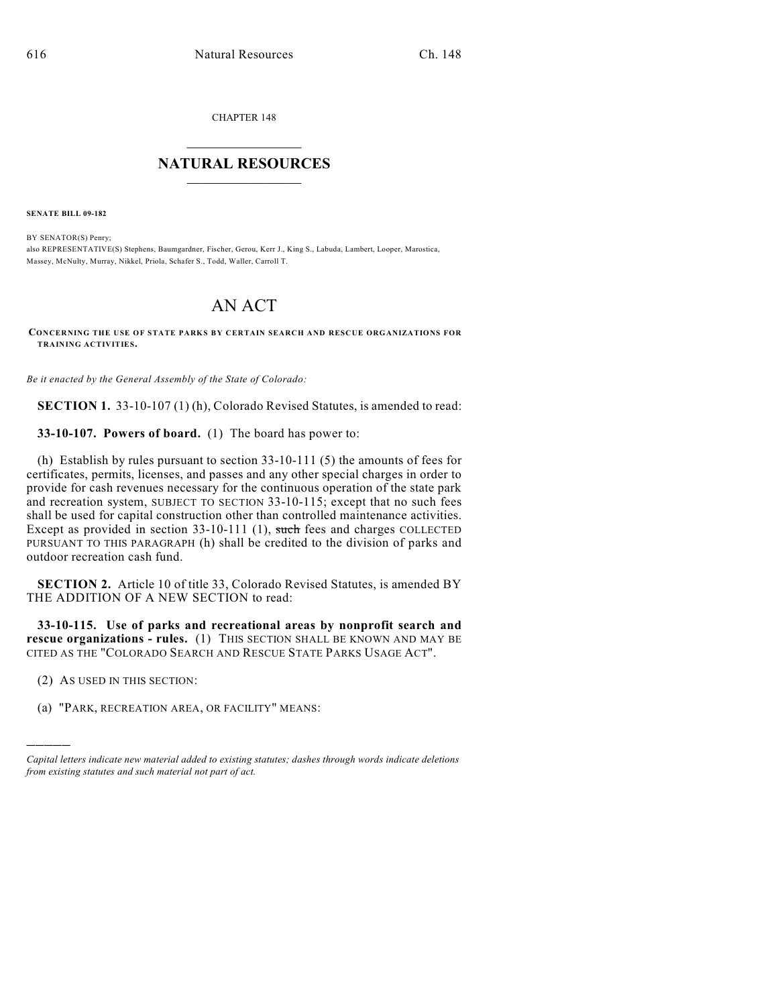CHAPTER 148

## $\overline{\phantom{a}}$  . The set of the set of the set of the set of the set of the set of the set of the set of the set of the set of the set of the set of the set of the set of the set of the set of the set of the set of the set o **NATURAL RESOURCES**  $\frac{1}{\sqrt{2}}$  , where  $\frac{1}{\sqrt{2}}$  ,  $\frac{1}{\sqrt{2}}$  ,  $\frac{1}{\sqrt{2}}$

**SENATE BILL 09-182**

BY SENATOR(S) Penry; also REPRESENTATIVE(S) Stephens, Baumgardner, Fischer, Gerou, Kerr J., King S., Labuda, Lambert, Looper, Marostica, Massey, McNulty, Murray, Nikkel, Priola, Schafer S., Todd, Waller, Carroll T.

## AN ACT

**CONCERNING THE USE OF STATE PARKS BY CERTAIN SEARCH AND RESCUE ORGANIZATIONS FOR TRAINING ACTIVITIES.**

*Be it enacted by the General Assembly of the State of Colorado:*

**SECTION 1.** 33-10-107 (1) (h), Colorado Revised Statutes, is amended to read:

**33-10-107. Powers of board.** (1) The board has power to:

(h) Establish by rules pursuant to section 33-10-111 (5) the amounts of fees for certificates, permits, licenses, and passes and any other special charges in order to provide for cash revenues necessary for the continuous operation of the state park and recreation system, SUBJECT TO SECTION 33-10-115; except that no such fees shall be used for capital construction other than controlled maintenance activities. Except as provided in section 33-10-111 (1), such fees and charges COLLECTED PURSUANT TO THIS PARAGRAPH (h) shall be credited to the division of parks and outdoor recreation cash fund.

**SECTION 2.** Article 10 of title 33, Colorado Revised Statutes, is amended BY THE ADDITION OF A NEW SECTION to read:

**33-10-115. Use of parks and recreational areas by nonprofit search and rescue organizations - rules.** (1) THIS SECTION SHALL BE KNOWN AND MAY BE CITED AS THE "COLORADO SEARCH AND RESCUE STATE PARKS USAGE ACT".

(2) AS USED IN THIS SECTION:

)))))

(a) "PARK, RECREATION AREA, OR FACILITY" MEANS:

*Capital letters indicate new material added to existing statutes; dashes through words indicate deletions from existing statutes and such material not part of act.*